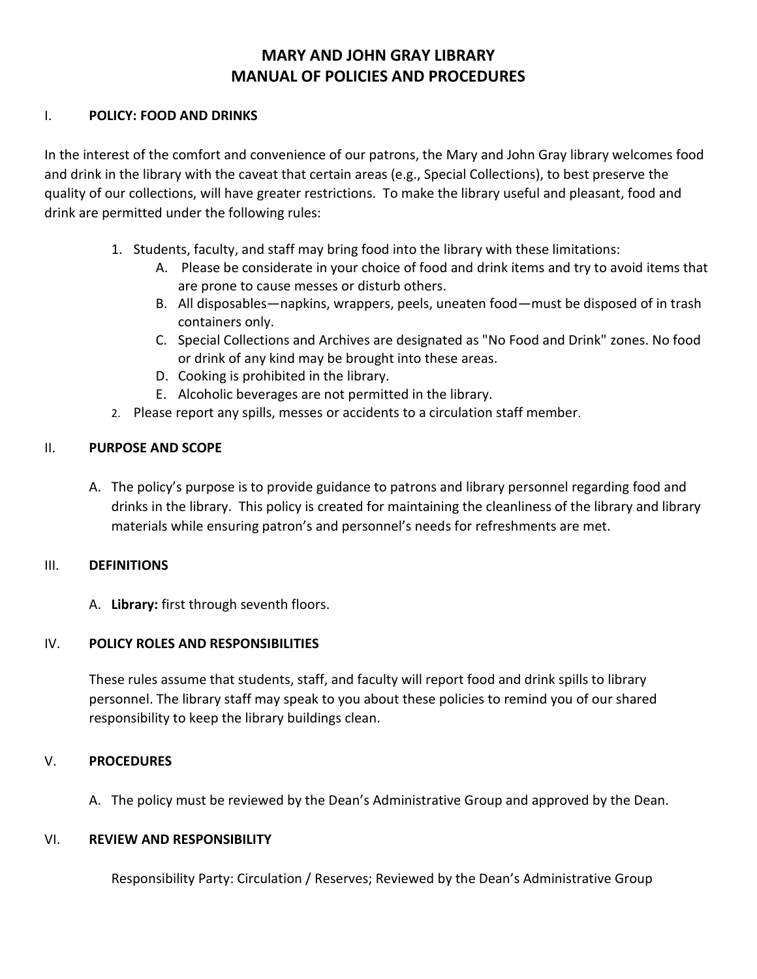## **MARY AND JOHN GRAY LIBRARY MANUAL OF POLICIES AND PROCEDURES**

#### I. **POLICY: FOOD AND DRINKS**

In the interest of the comfort and convenience of our patrons, the Mary and John Gray library welcomes food and drink in the library with the caveat that certain areas (e.g., Special Collections), to best preserve the quality of our collections, will have greater restrictions. To make the library useful and pleasant, food and drink are permitted under the following rules:

- 1. Students, faculty, and staff may bring food into the library with these limitations:
	- A. Please be considerate in your choice of food and drink items and try to avoid items that are prone to cause messes or disturb others.
	- B. All disposables—napkins, wrappers, peels, uneaten food—must be disposed of in trash containers only.
	- C. Special Collections and Archives are designated as "No Food and Drink" zones. No food or drink of any kind may be brought into these areas.
	- D. Cooking is prohibited in the library.
	- E. Alcoholic beverages are not permitted in the library.
- 2. Please report any spills, messes or accidents to a circulation staff member.

## II. **PURPOSE AND SCOPE**

A. The policy's purpose is to provide guidance to patrons and library personnel regarding food and drinks in the library. This policy is created for maintaining the cleanliness of the library and library materials while ensuring patron's and personnel's needs for refreshments are met.

### III. **DEFINITIONS**

A. **Library:** first through seventh floors.

### IV. **POLICY ROLES AND RESPONSIBILITIES**

These rules assume that students, staff, and faculty will report food and drink spills to library personnel. The library staff may speak to you about these policies to remind you of our shared responsibility to keep the library buildings clean.

### V. **PROCEDURES**

A. The policy must be reviewed by the Dean's Administrative Group and approved by the Dean.

### VI. **REVIEW AND RESPONSIBILITY**

Responsibility Party: Circulation / Reserves; Reviewed by the Dean's Administrative Group